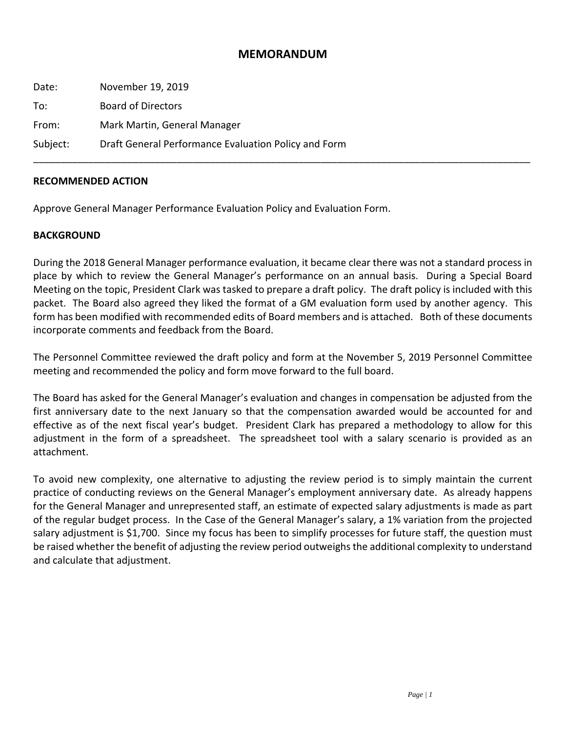#### **MEMORANDUM**

\_\_\_\_\_\_\_\_\_\_\_\_\_\_\_\_\_\_\_\_\_\_\_\_\_\_\_\_\_\_\_\_\_\_\_\_\_\_\_\_\_\_\_\_\_\_\_\_\_\_\_\_\_\_\_\_\_\_\_\_\_\_\_\_\_\_\_\_\_\_\_\_\_\_\_\_\_\_\_\_\_\_\_\_\_\_\_\_\_\_

| Date:    | November 19, 2019                                    |
|----------|------------------------------------------------------|
| To:      | <b>Board of Directors</b>                            |
| From:    | Mark Martin, General Manager                         |
| Subject: | Draft General Performance Evaluation Policy and Form |

#### **RECOMMENDED ACTION**

Approve General Manager Performance Evaluation Policy and Evaluation Form.

#### **BACKGROUND**

During the 2018 General Manager performance evaluation, it became clear there was not a standard process in place by which to review the General Manager's performance on an annual basis. During a Special Board Meeting on the topic, President Clark was tasked to prepare a draft policy. The draft policy is included with this packet. The Board also agreed they liked the format of a GM evaluation form used by another agency. This form has been modified with recommended edits of Board members and is attached. Both of these documents incorporate comments and feedback from the Board.

The Personnel Committee reviewed the draft policy and form at the November 5, 2019 Personnel Committee meeting and recommended the policy and form move forward to the full board.

The Board has asked for the General Manager's evaluation and changes in compensation be adjusted from the first anniversary date to the next January so that the compensation awarded would be accounted for and effective as of the next fiscal year's budget. President Clark has prepared a methodology to allow for this adjustment in the form of a spreadsheet. The spreadsheet tool with a salary scenario is provided as an attachment.

To avoid new complexity, one alternative to adjusting the review period is to simply maintain the current practice of conducting reviews on the General Manager's employment anniversary date. As already happens for the General Manager and unrepresented staff, an estimate of expected salary adjustments is made as part of the regular budget process. In the Case of the General Manager's salary, a 1% variation from the projected salary adjustment is \$1,700. Since my focus has been to simplify processes for future staff, the question must be raised whether the benefit of adjusting the review period outweighsthe additional complexity to understand and calculate that adjustment.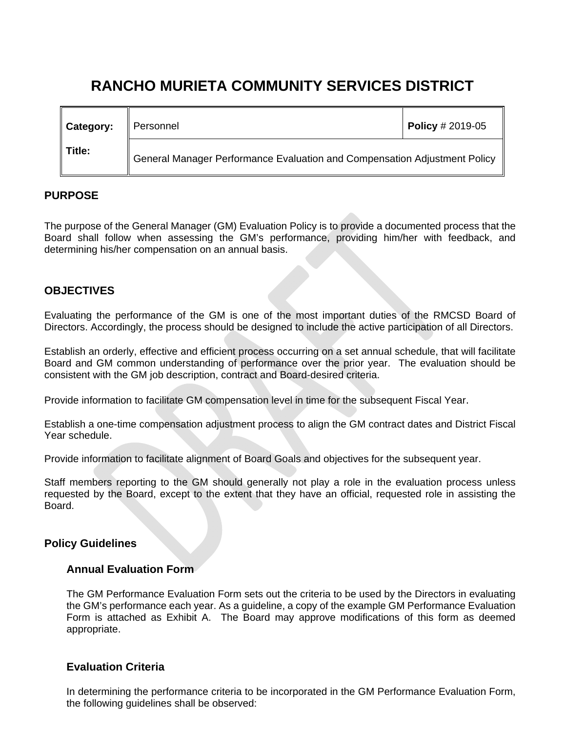# **RANCHO MURIETA COMMUNITY SERVICES DISTRICT**

| Category:             | ∥ Personnel                                                               | <b>Policy</b> # 2019-05 |
|-----------------------|---------------------------------------------------------------------------|-------------------------|
| $\blacksquare$ Title: | General Manager Performance Evaluation and Compensation Adjustment Policy |                         |

# **PURPOSE**

The purpose of the General Manager (GM) Evaluation Policy is to provide a documented process that the Board shall follow when assessing the GM's performance, providing him/her with feedback, and determining his/her compensation on an annual basis.

# **OBJECTIVES**

Evaluating the performance of the GM is one of the most important duties of the RMCSD Board of Directors. Accordingly, the process should be designed to include the active participation of all Directors.

Establish an orderly, effective and efficient process occurring on a set annual schedule, that will facilitate Board and GM common understanding of performance over the prior year. The evaluation should be consistent with the GM job description, contract and Board-desired criteria.

Provide information to facilitate GM compensation level in time for the subsequent Fiscal Year.

Establish a one-time compensation adjustment process to align the GM contract dates and District Fiscal Year schedule.

Provide information to facilitate alignment of Board Goals and objectives for the subsequent year.

Staff members reporting to the GM should generally not play a role in the evaluation process unless requested by the Board, except to the extent that they have an official, requested role in assisting the Board.

# **Policy Guidelines**

# **Annual Evaluation Form**

The GM Performance Evaluation Form sets out the criteria to be used by the Directors in evaluating the GM's performance each year. As a guideline, a copy of the example GM Performance Evaluation Form is attached as Exhibit A. The Board may approve modifications of this form as deemed appropriate.

# **Evaluation Criteria**

In determining the performance criteria to be incorporated in the GM Performance Evaluation Form, the following guidelines shall be observed: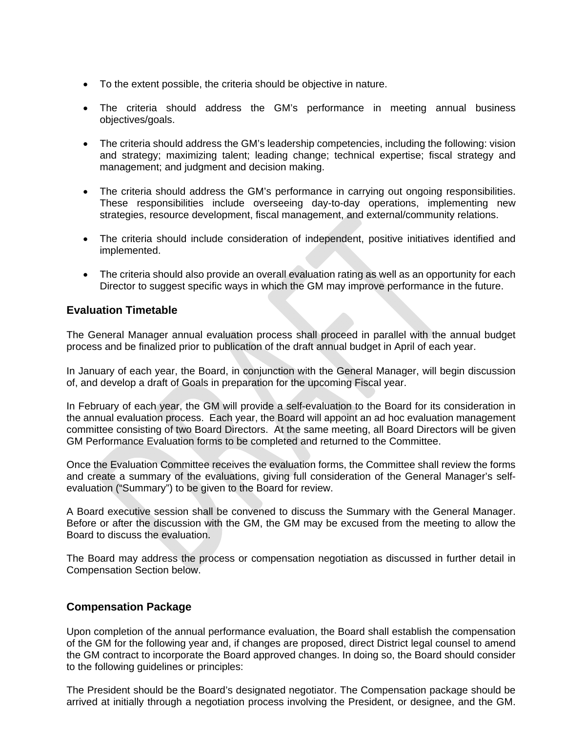- To the extent possible, the criteria should be objective in nature.
- The criteria should address the GM's performance in meeting annual business objectives/goals.
- The criteria should address the GM's leadership competencies, including the following: vision and strategy; maximizing talent; leading change; technical expertise; fiscal strategy and management; and judgment and decision making.
- The criteria should address the GM's performance in carrying out ongoing responsibilities. These responsibilities include overseeing day-to-day operations, implementing new strategies, resource development, fiscal management, and external/community relations.
- The criteria should include consideration of independent, positive initiatives identified and implemented.
- The criteria should also provide an overall evaluation rating as well as an opportunity for each Director to suggest specific ways in which the GM may improve performance in the future.

# **Evaluation Timetable**

The General Manager annual evaluation process shall proceed in parallel with the annual budget process and be finalized prior to publication of the draft annual budget in April of each year.

In January of each year, the Board, in conjunction with the General Manager, will begin discussion of, and develop a draft of Goals in preparation for the upcoming Fiscal year.

In February of each year, the GM will provide a self-evaluation to the Board for its consideration in the annual evaluation process. Each year, the Board will appoint an ad hoc evaluation management committee consisting of two Board Directors. At the same meeting, all Board Directors will be given GM Performance Evaluation forms to be completed and returned to the Committee.

Once the Evaluation Committee receives the evaluation forms, the Committee shall review the forms and create a summary of the evaluations, giving full consideration of the General Manager's selfevaluation ("Summary") to be given to the Board for review.

A Board executive session shall be convened to discuss the Summary with the General Manager. Before or after the discussion with the GM, the GM may be excused from the meeting to allow the Board to discuss the evaluation.

The Board may address the process or compensation negotiation as discussed in further detail in Compensation Section below.

# **Compensation Package**

Upon completion of the annual performance evaluation, the Board shall establish the compensation of the GM for the following year and, if changes are proposed, direct District legal counsel to amend the GM contract to incorporate the Board approved changes. In doing so, the Board should consider to the following guidelines or principles:

The President should be the Board's designated negotiator. The Compensation package should be arrived at initially through a negotiation process involving the President, or designee, and the GM.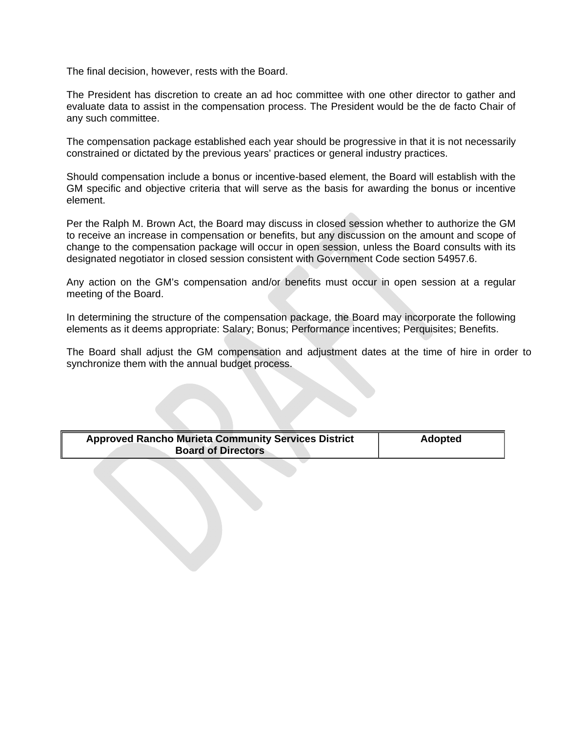The final decision, however, rests with the Board.

The President has discretion to create an ad hoc committee with one other director to gather and evaluate data to assist in the compensation process. The President would be the de facto Chair of any such committee.

The compensation package established each year should be progressive in that it is not necessarily constrained or dictated by the previous years' practices or general industry practices.

Should compensation include a bonus or incentive-based element, the Board will establish with the GM specific and objective criteria that will serve as the basis for awarding the bonus or incentive element.

Per the Ralph M. Brown Act, the Board may discuss in closed session whether to authorize the GM to receive an increase in compensation or benefits, but any discussion on the amount and scope of change to the compensation package will occur in open session, unless the Board consults with its designated negotiator in closed session consistent with Government Code section 54957.6.

Any action on the GM's compensation and/or benefits must occur in open session at a regular meeting of the Board.

In determining the structure of the compensation package, the Board may incorporate the following elements as it deems appropriate: Salary; Bonus; Performance incentives; Perquisites; Benefits.

The Board shall adjust the GM compensation and adjustment dates at the time of hire in order to synchronize them with the annual budget process.

| <b>Approved Rancho Murieta Community Services District</b> | <b>Adopted</b> |
|------------------------------------------------------------|----------------|
| <b>Board of Directors</b>                                  |                |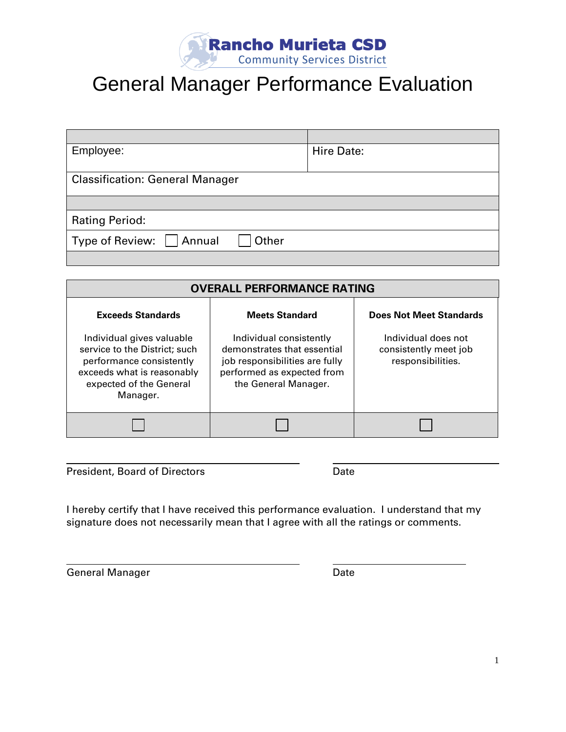

# General Manager Performance Evaluation

| Employee:                              | Hire Date: |
|----------------------------------------|------------|
|                                        |            |
| <b>Classification: General Manager</b> |            |
|                                        |            |
|                                        |            |
| <b>Rating Period:</b>                  |            |
| Type of Review:   Annual<br>  Other    |            |
|                                        |            |

| <b>OVERALL PERFORMANCE RATING</b>                                                                                                                           |                                                                                                                                                |                                                                   |  |
|-------------------------------------------------------------------------------------------------------------------------------------------------------------|------------------------------------------------------------------------------------------------------------------------------------------------|-------------------------------------------------------------------|--|
| <b>Exceeds Standards</b>                                                                                                                                    | <b>Meets Standard</b>                                                                                                                          | <b>Does Not Meet Standards</b>                                    |  |
| Individual gives valuable<br>service to the District; such<br>performance consistently<br>exceeds what is reasonably<br>expected of the General<br>Manager. | Individual consistently<br>demonstrates that essential<br>job responsibilities are fully<br>performed as expected from<br>the General Manager. | Individual does not<br>consistently meet job<br>responsibilities. |  |
|                                                                                                                                                             |                                                                                                                                                |                                                                   |  |

President, Board of Directors **Date** Date

I hereby certify that I have received this performance evaluation. I understand that my signature does not necessarily mean that I agree with all the ratings or comments.

General Manager **Date** Date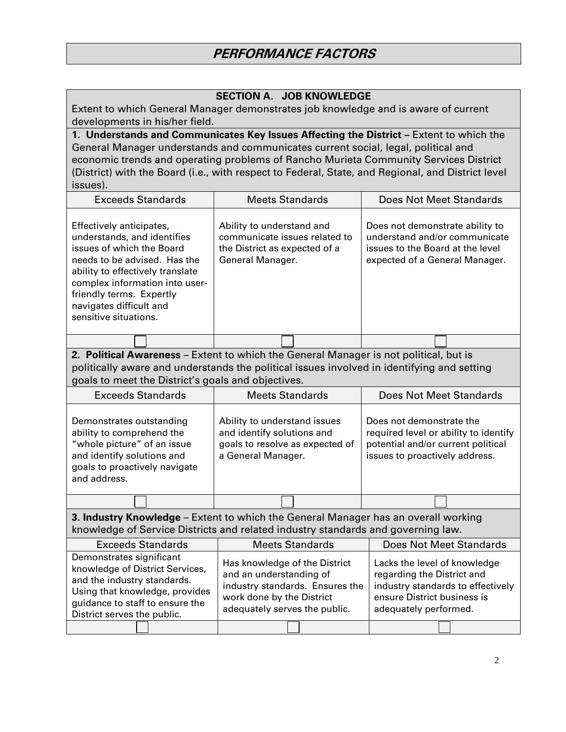| <b>SECTION A. JOB KNOWLEDGE</b><br>Extent to which General Manager demonstrates job knowledge and is aware of current<br>developments in his/her field.                                                                                                                                                                                                                               |                                                                                                                                                           |                                                                                                                                                         |  |
|---------------------------------------------------------------------------------------------------------------------------------------------------------------------------------------------------------------------------------------------------------------------------------------------------------------------------------------------------------------------------------------|-----------------------------------------------------------------------------------------------------------------------------------------------------------|---------------------------------------------------------------------------------------------------------------------------------------------------------|--|
| 1. Understands and Communicates Key Issues Affecting the District - Extent to which the<br>General Manager understands and communicates current social, legal, political and<br>economic trends and operating problems of Rancho Murieta Community Services District<br>(District) with the Board (i.e., with respect to Federal, State, and Regional, and District level<br>issues). |                                                                                                                                                           |                                                                                                                                                         |  |
| <b>Exceeds Standards</b>                                                                                                                                                                                                                                                                                                                                                              | <b>Meets Standards</b>                                                                                                                                    | <b>Does Not Meet Standards</b>                                                                                                                          |  |
| Effectively anticipates,<br>understands, and identifies<br>issues of which the Board<br>needs to be advised. Has the<br>ability to effectively translate<br>complex information into user-<br>friendly terms. Expertly<br>navigates difficult and<br>sensitive situations.                                                                                                            | Ability to understand and<br>communicate issues related to<br>the District as expected of a<br>General Manager.                                           | Does not demonstrate ability to<br>understand and/or communicate<br>issues to the Board at the level<br>expected of a General Manager.                  |  |
|                                                                                                                                                                                                                                                                                                                                                                                       |                                                                                                                                                           |                                                                                                                                                         |  |
| 2. Political Awareness - Extent to which the General Manager is not political, but is<br>politically aware and understands the political issues involved in identifying and setting<br>goals to meet the District's goals and objectives.                                                                                                                                             |                                                                                                                                                           |                                                                                                                                                         |  |
| <b>Exceeds Standards</b>                                                                                                                                                                                                                                                                                                                                                              | <b>Meets Standards</b>                                                                                                                                    | <b>Does Not Meet Standards</b>                                                                                                                          |  |
| Demonstrates outstanding<br>ability to comprehend the<br>"whole picture" of an issue<br>and identify solutions and<br>goals to proactively navigate<br>and address.                                                                                                                                                                                                                   | Ability to understand issues<br>and identify solutions and<br>goals to resolve as expected of<br>a General Manager.                                       | Does not demonstrate the<br>required level or ability to identify<br>potential and/or current political<br>issues to proactively address.               |  |
|                                                                                                                                                                                                                                                                                                                                                                                       |                                                                                                                                                           |                                                                                                                                                         |  |
| 3. Industry Knowledge - Extent to which the General Manager has an overall working<br>knowledge of Service Districts and related industry standards and governing law.                                                                                                                                                                                                                |                                                                                                                                                           |                                                                                                                                                         |  |
| <b>Exceeds Standards</b>                                                                                                                                                                                                                                                                                                                                                              | <b>Meets Standards</b>                                                                                                                                    | <b>Does Not Meet Standards</b>                                                                                                                          |  |
| Demonstrates significant<br>knowledge of District Services,<br>and the industry standards.<br>Using that knowledge, provides<br>guidance to staff to ensure the<br>District serves the public.                                                                                                                                                                                        | Has knowledge of the District<br>and an understanding of<br>industry standards. Ensures the<br>work done by the District<br>adequately serves the public. | Lacks the level of knowledge<br>regarding the District and<br>industry standards to effectively<br>ensure District business is<br>adequately performed. |  |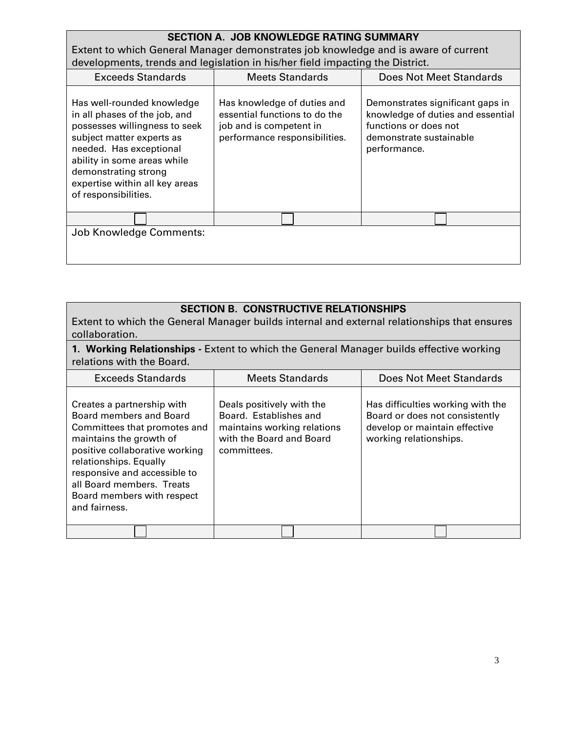# **SECTION A. JOB KNOWLEDGE RATING SUMMARY** Extent to which General Manager demonstrates job knowledge and is aware of current developments, trends and legislation in his/her field impacting the District.

| <b>Exceeds Standards</b>                                                                                                                                                                                                                                              | <b>Meets Standards</b>                                                                                                   | <b>Does Not Meet Standards</b>                                                                                                            |
|-----------------------------------------------------------------------------------------------------------------------------------------------------------------------------------------------------------------------------------------------------------------------|--------------------------------------------------------------------------------------------------------------------------|-------------------------------------------------------------------------------------------------------------------------------------------|
| Has well-rounded knowledge<br>in all phases of the job, and<br>possesses willingness to seek<br>subject matter experts as<br>needed. Has exceptional<br>ability in some areas while<br>demonstrating strong<br>expertise within all key areas<br>of responsibilities. | Has knowledge of duties and<br>essential functions to do the<br>job and is competent in<br>performance responsibilities. | Demonstrates significant gaps in<br>knowledge of duties and essential<br>functions or does not<br>demonstrate sustainable<br>performance. |
|                                                                                                                                                                                                                                                                       |                                                                                                                          |                                                                                                                                           |
| Job Knowledge Comments:                                                                                                                                                                                                                                               |                                                                                                                          |                                                                                                                                           |
|                                                                                                                                                                                                                                                                       |                                                                                                                          |                                                                                                                                           |

#### **SECTION B. CONSTRUCTIVE RELATIONSHIPS**

Extent to which the General Manager builds internal and external relationships that ensures collaboration.

#### **1. Working Relationships -** Extent to which the General Manager builds effective working relations with the Board.

| <b>Exceeds Standards</b>                                                                                                                                                                                                                                                                 | <b>Meets Standards</b>                                                                                                        | Does Not Meet Standards                                                                                                        |
|------------------------------------------------------------------------------------------------------------------------------------------------------------------------------------------------------------------------------------------------------------------------------------------|-------------------------------------------------------------------------------------------------------------------------------|--------------------------------------------------------------------------------------------------------------------------------|
| Creates a partnership with<br>Board members and Board<br>Committees that promotes and<br>maintains the growth of<br>positive collaborative working<br>relationships. Equally<br>responsive and accessible to<br>all Board members. Treats<br>Board members with respect<br>and fairness. | Deals positively with the<br>Board. Establishes and<br>maintains working relations<br>with the Board and Board<br>committees. | Has difficulties working with the<br>Board or does not consistently<br>develop or maintain effective<br>working relationships. |
|                                                                                                                                                                                                                                                                                          |                                                                                                                               |                                                                                                                                |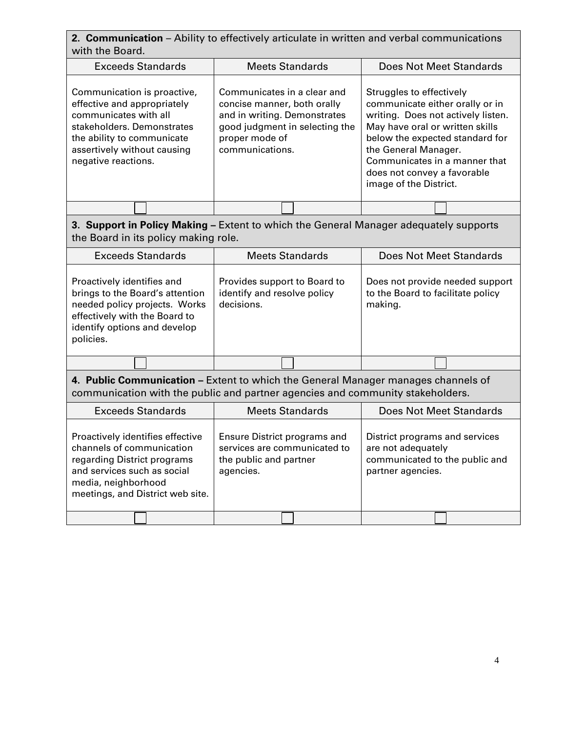| <b>2. Communication</b> – Ability to effectively articulate in written and verbal communications |
|--------------------------------------------------------------------------------------------------|
| with the Board.                                                                                  |

| <b>Exceeds Standards</b>                                                                                                                                                                              | <b>Meets Standards</b>                                                                                                                                            | Does Not Meet Standards                                                                                                                                                                                                                                                                   |
|-------------------------------------------------------------------------------------------------------------------------------------------------------------------------------------------------------|-------------------------------------------------------------------------------------------------------------------------------------------------------------------|-------------------------------------------------------------------------------------------------------------------------------------------------------------------------------------------------------------------------------------------------------------------------------------------|
| Communication is proactive,<br>effective and appropriately<br>communicates with all<br>stakeholders. Demonstrates<br>the ability to communicate<br>assertively without causing<br>negative reactions. | Communicates in a clear and<br>concise manner, both orally<br>and in writing. Demonstrates<br>good judgment in selecting the<br>proper mode of<br>communications. | Struggles to effectively<br>communicate either orally or in<br>writing. Does not actively listen.<br>May have oral or written skills<br>below the expected standard for<br>the General Manager.<br>Communicates in a manner that<br>does not convey a favorable<br>image of the District. |
|                                                                                                                                                                                                       |                                                                                                                                                                   |                                                                                                                                                                                                                                                                                           |

# **3. Support in Policy Making –** Extent to which the General Manager adequately supports the Board in its policy making role.

| <b>Exceeds Standards</b>                                                                                                                                                     | <b>Meets Standards</b>                                                    | Does Not Meet Standards                                                         |
|------------------------------------------------------------------------------------------------------------------------------------------------------------------------------|---------------------------------------------------------------------------|---------------------------------------------------------------------------------|
| Proactively identifies and<br>brings to the Board's attention<br>needed policy projects. Works<br>effectively with the Board to<br>identify options and develop<br>policies. | Provides support to Board to<br>identify and resolve policy<br>decisions. | Does not provide needed support<br>to the Board to facilitate policy<br>making. |
|                                                                                                                                                                              |                                                                           |                                                                                 |

# **4. Public Communication –** Extent to which the General Manager manages channels of communication with the public and partner agencies and community stakeholders.

| <b>Exceeds Standards</b>                                                                                                                                                               | <b>Meets Standards</b>                                                                              | Does Not Meet Standards                                                                                     |
|----------------------------------------------------------------------------------------------------------------------------------------------------------------------------------------|-----------------------------------------------------------------------------------------------------|-------------------------------------------------------------------------------------------------------------|
| Proactively identifies effective<br>channels of communication<br>regarding District programs<br>and services such as social<br>media, neighborhood<br>meetings, and District web site. | Ensure District programs and<br>services are communicated to<br>the public and partner<br>agencies. | District programs and services<br>are not adequately<br>communicated to the public and<br>partner agencies. |
|                                                                                                                                                                                        |                                                                                                     |                                                                                                             |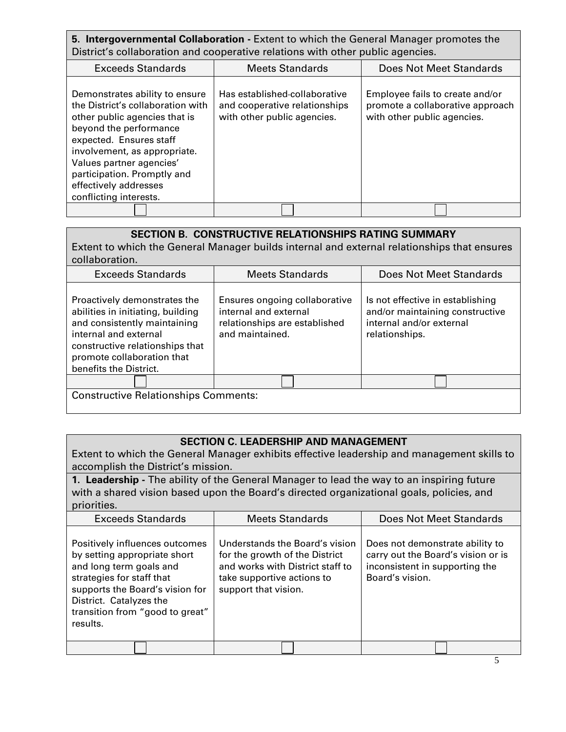**5. Intergovernmental Collaboration -** Extent to which the General Manager promotes the District's collaboration and cooperative relations with other public agencies.

| <b>Exceeds Standards</b>                                                                                                                                                                                                                                                                                | <b>Meets Standards</b>                                                                        | Does Not Meet Standards                                                                            |  |  |  |
|---------------------------------------------------------------------------------------------------------------------------------------------------------------------------------------------------------------------------------------------------------------------------------------------------------|-----------------------------------------------------------------------------------------------|----------------------------------------------------------------------------------------------------|--|--|--|
| Demonstrates ability to ensure<br>the District's collaboration with<br>other public agencies that is<br>beyond the performance<br>expected. Ensures staff<br>involvement, as appropriate.<br>Values partner agencies'<br>participation. Promptly and<br>effectively addresses<br>conflicting interests. | Has established-collaborative<br>and cooperative relationships<br>with other public agencies. | Employee fails to create and/or<br>promote a collaborative approach<br>with other public agencies. |  |  |  |
|                                                                                                                                                                                                                                                                                                         |                                                                                               |                                                                                                    |  |  |  |

| <b>SECTION B. CONSTRUCTIVE RELATIONSHIPS RATING SUMMARY</b><br>Extent to which the General Manager builds internal and external relationships that ensures<br>collaboration.                                          |                                                                                                            |                                                                                                                   |  |  |  |  |  |  |
|-----------------------------------------------------------------------------------------------------------------------------------------------------------------------------------------------------------------------|------------------------------------------------------------------------------------------------------------|-------------------------------------------------------------------------------------------------------------------|--|--|--|--|--|--|
| <b>Exceeds Standards</b>                                                                                                                                                                                              | <b>Meets Standards</b>                                                                                     | Does Not Meet Standards                                                                                           |  |  |  |  |  |  |
| Proactively demonstrates the<br>abilities in initiating, building<br>and consistently maintaining<br>internal and external<br>constructive relationships that<br>promote collaboration that<br>benefits the District. | Ensures ongoing collaborative<br>internal and external<br>relationships are established<br>and maintained. | Is not effective in establishing<br>and/or maintaining constructive<br>internal and/or external<br>relationships. |  |  |  |  |  |  |
|                                                                                                                                                                                                                       |                                                                                                            |                                                                                                                   |  |  |  |  |  |  |
| <b>Constructive Relationships Comments:</b>                                                                                                                                                                           |                                                                                                            |                                                                                                                   |  |  |  |  |  |  |

#### **SECTION C. LEADERSHIP AND MANAGEMENT**

Extent to which the General Manager exhibits effective leadership and management skills to accomplish the District's mission.

**1. Leadership -** The ability of the General Manager to lead the way to an inspiring future with a shared vision based upon the Board's directed organizational goals, policies, and priorities.

| <b>Exceeds Standards</b>                                                                                                                                                                                                            | <b>Meets Standards</b>                                                                                                                                     | Does Not Meet Standards                                                                                                    |  |  |
|-------------------------------------------------------------------------------------------------------------------------------------------------------------------------------------------------------------------------------------|------------------------------------------------------------------------------------------------------------------------------------------------------------|----------------------------------------------------------------------------------------------------------------------------|--|--|
| Positively influences outcomes<br>by setting appropriate short<br>and long term goals and<br>strategies for staff that<br>supports the Board's vision for<br>District. Catalyzes the<br>transition from "good to great"<br>results. | Understands the Board's vision<br>for the growth of the District<br>and works with District staff to<br>take supportive actions to<br>support that vision. | Does not demonstrate ability to<br>carry out the Board's vision or is<br>inconsistent in supporting the<br>Board's vision. |  |  |
|                                                                                                                                                                                                                                     |                                                                                                                                                            |                                                                                                                            |  |  |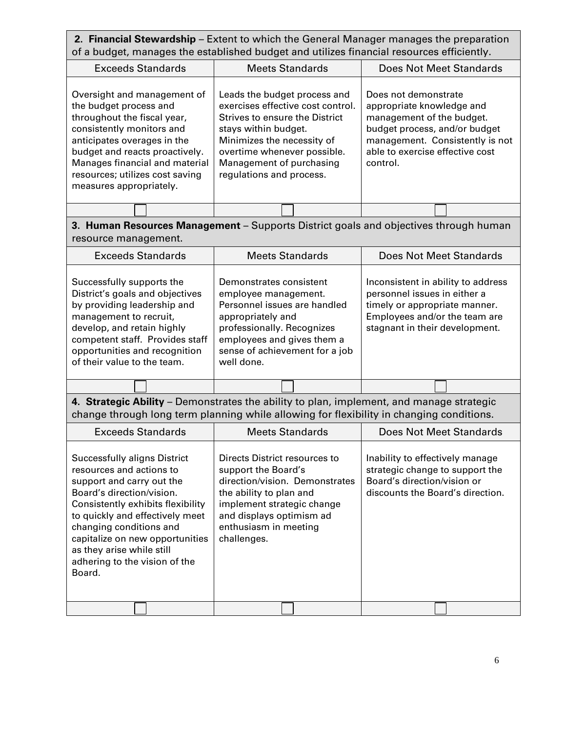## **2. Financial Stewardship** – Extent to which the General Manager manages the preparation of a budget, manages the established budget and utilizes financial resources efficiently.

| <b>Exceeds Standards</b>                                                                                                                                                                                                                                                           | <b>Meets Standards</b>                                                                                                                                                                                                                           | Does Not Meet Standards                                                                                                                                                                           |  |  |  |
|------------------------------------------------------------------------------------------------------------------------------------------------------------------------------------------------------------------------------------------------------------------------------------|--------------------------------------------------------------------------------------------------------------------------------------------------------------------------------------------------------------------------------------------------|---------------------------------------------------------------------------------------------------------------------------------------------------------------------------------------------------|--|--|--|
| Oversight and management of<br>the budget process and<br>throughout the fiscal year,<br>consistently monitors and<br>anticipates overages in the<br>budget and reacts proactively.<br>Manages financial and material<br>resources; utilizes cost saving<br>measures appropriately. | Leads the budget process and<br>exercises effective cost control.<br>Strives to ensure the District<br>stays within budget.<br>Minimizes the necessity of<br>overtime whenever possible.<br>Management of purchasing<br>regulations and process. | Does not demonstrate<br>appropriate knowledge and<br>management of the budget.<br>budget process, and/or budget<br>management. Consistently is not<br>able to exercise effective cost<br>control. |  |  |  |
|                                                                                                                                                                                                                                                                                    |                                                                                                                                                                                                                                                  |                                                                                                                                                                                                   |  |  |  |

# **3. Human Resources Management** – Supports District goals and objectives through human resource management.

| <b>Exceeds Standards</b>                                                                                                                                                                                                                               | <b>Meets Standards</b>                                                                                                                                                                                           | Does Not Meet Standards                                                                                                                                                |  |  |  |  |
|--------------------------------------------------------------------------------------------------------------------------------------------------------------------------------------------------------------------------------------------------------|------------------------------------------------------------------------------------------------------------------------------------------------------------------------------------------------------------------|------------------------------------------------------------------------------------------------------------------------------------------------------------------------|--|--|--|--|
| Successfully supports the<br>District's goals and objectives<br>by providing leadership and<br>management to recruit,<br>develop, and retain highly<br>competent staff. Provides staff<br>opportunities and recognition<br>of their value to the team. | Demonstrates consistent<br>employee management.<br>Personnel issues are handled<br>appropriately and<br>professionally. Recognizes<br>employees and gives them a<br>sense of achievement for a job<br>well done. | Inconsistent in ability to address<br>personnel issues in either a<br>timely or appropriate manner.<br>Employees and/or the team are<br>stagnant in their development. |  |  |  |  |
|                                                                                                                                                                                                                                                        |                                                                                                                                                                                                                  |                                                                                                                                                                        |  |  |  |  |

**4. Strategic Ability** – Demonstrates the ability to plan, implement, and manage strategic change through long term planning while allowing for flexibility in changing conditions.

| <b>Exceeds Standards</b>                                                                                                                                                                                                                                                                                                         | <b>Meets Standards</b>                                                                                                                                                                                              | Does Not Meet Standards                                                                                                               |  |  |  |
|----------------------------------------------------------------------------------------------------------------------------------------------------------------------------------------------------------------------------------------------------------------------------------------------------------------------------------|---------------------------------------------------------------------------------------------------------------------------------------------------------------------------------------------------------------------|---------------------------------------------------------------------------------------------------------------------------------------|--|--|--|
| Successfully aligns District<br>resources and actions to<br>support and carry out the<br>Board's direction/vision.<br>Consistently exhibits flexibility<br>to quickly and effectively meet<br>changing conditions and<br>capitalize on new opportunities<br>as they arise while still<br>adhering to the vision of the<br>Board. | Directs District resources to<br>support the Board's<br>direction/vision. Demonstrates<br>the ability to plan and<br>implement strategic change<br>and displays optimism ad<br>enthusiasm in meeting<br>challenges. | Inability to effectively manage<br>strategic change to support the<br>Board's direction/vision or<br>discounts the Board's direction. |  |  |  |
|                                                                                                                                                                                                                                                                                                                                  |                                                                                                                                                                                                                     |                                                                                                                                       |  |  |  |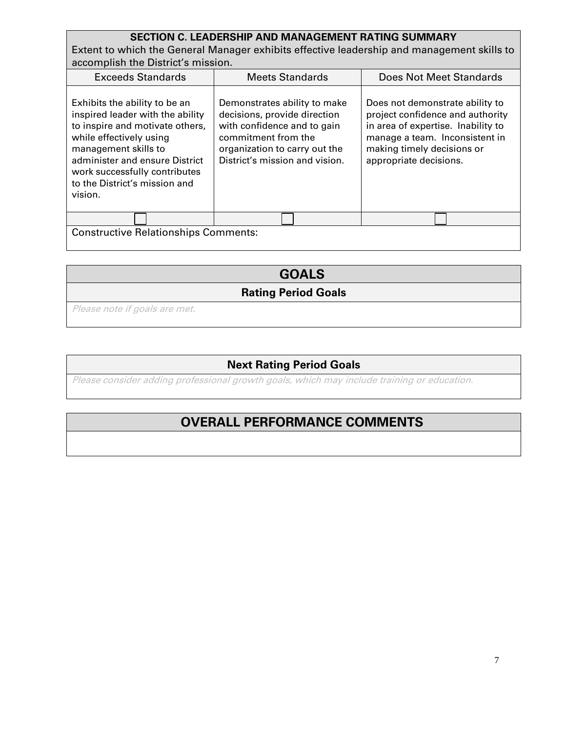# **SECTION C. LEADERSHIP AND MANAGEMENT RATING SUMMARY**

Extent to which the General Manager exhibits effective leadership and management skills to accomplish the District's mission.

| <b>Exceeds Standards</b>                                                                                                                                                                                                                                               | <b>Meets Standards</b>                                                                                                                                                                | Does Not Meet Standards                                                                                                                                                                             |  |  |  |
|------------------------------------------------------------------------------------------------------------------------------------------------------------------------------------------------------------------------------------------------------------------------|---------------------------------------------------------------------------------------------------------------------------------------------------------------------------------------|-----------------------------------------------------------------------------------------------------------------------------------------------------------------------------------------------------|--|--|--|
| Exhibits the ability to be an<br>inspired leader with the ability<br>to inspire and motivate others,<br>while effectively using<br>management skills to<br>administer and ensure District<br>work successfully contributes<br>to the District's mission and<br>vision. | Demonstrates ability to make<br>decisions, provide direction<br>with confidence and to gain<br>commitment from the<br>organization to carry out the<br>District's mission and vision. | Does not demonstrate ability to<br>project confidence and authority<br>in area of expertise. Inability to<br>manage a team. Inconsistent in<br>making timely decisions or<br>appropriate decisions. |  |  |  |
| Constantino Delettenskins Constantin                                                                                                                                                                                                                                   |                                                                                                                                                                                       |                                                                                                                                                                                                     |  |  |  |

Constructive Relationships Comments:

# **GOALS**

**Rating Period Goals**

Please note if goals are met.

# **Next Rating Period Goals**

Please consider adding professional growth goals, which may include training or education.

# **OVERALL PERFORMANCE COMMENTS**